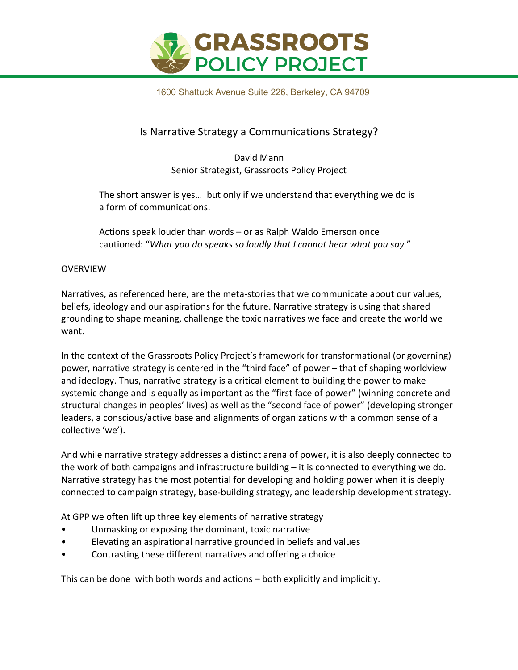

1600 Shattuck Avenue Suite 226, Berkeley, CA 94709

### Is Narrative Strategy a Communications Strategy?

David Mann Senior Strategist, Grassroots Policy Project

The short answer is yes… but only if we understand that everything we do is a form of communications.

Actions speak louder than words – or as Ralph Waldo Emerson once cautioned: "*What you do speaks so loudly that I cannot hear what you say.*"

#### OVERVIEW

Narratives, as referenced here, are the meta-stories that we communicate about our values, beliefs, ideology and our aspirations for the future. Narrative strategy is using that shared grounding to shape meaning, challenge the toxic narratives we face and create the world we want.

In the context of the Grassroots Policy Project's framework for transformational (or governing) power, narrative strategy is centered in the "third face" of power – that of shaping worldview and ideology. Thus, narrative strategy is a critical element to building the power to make systemic change and is equally as important as the "first face of power" (winning concrete and structural changes in peoples' lives) as well as the "second face of power" (developing stronger leaders, a conscious/active base and alignments of organizations with a common sense of a collective 'we').

And while narrative strategy addresses a distinct arena of power, it is also deeply connected to the work of both campaigns and infrastructure building – it is connected to everything we do. Narrative strategy has the most potential for developing and holding power when it is deeply connected to campaign strategy, base-building strategy, and leadership development strategy.

At GPP we often lift up three key elements of narrative strategy

- Unmasking or exposing the dominant, toxic narrative
- Elevating an aspirational narrative grounded in beliefs and values
- Contrasting these different narratives and offering a choice

This can be done with both words and actions – both explicitly and implicitly.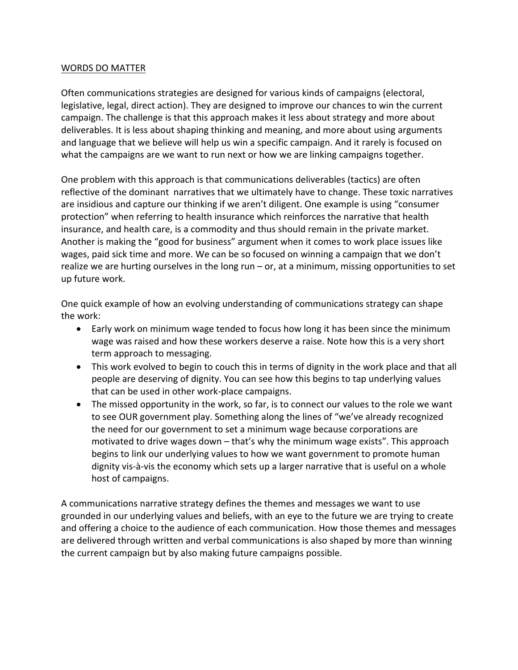#### WORDS DO MATTER

Often communications strategies are designed for various kinds of campaigns (electoral, legislative, legal, direct action). They are designed to improve our chances to win the current campaign. The challenge is that this approach makes it less about strategy and more about deliverables. It is less about shaping thinking and meaning, and more about using arguments and language that we believe will help us win a specific campaign. And it rarely is focused on what the campaigns are we want to run next or how we are linking campaigns together.

One problem with this approach is that communications deliverables (tactics) are often reflective of the dominant narratives that we ultimately have to change. These toxic narratives are insidious and capture our thinking if we aren't diligent. One example is using "consumer protection" when referring to health insurance which reinforces the narrative that health insurance, and health care, is a commodity and thus should remain in the private market. Another is making the "good for business" argument when it comes to work place issues like wages, paid sick time and more. We can be so focused on winning a campaign that we don't realize we are hurting ourselves in the long run – or, at a minimum, missing opportunities to set up future work.

One quick example of how an evolving understanding of communications strategy can shape the work:

- Early work on minimum wage tended to focus how long it has been since the minimum wage was raised and how these workers deserve a raise. Note how this is a very short term approach to messaging.
- This work evolved to begin to couch this in terms of dignity in the work place and that all people are deserving of dignity. You can see how this begins to tap underlying values that can be used in other work-place campaigns.
- The missed opportunity in the work, so far, is to connect our values to the role we want to see OUR government play. Something along the lines of "we've already recognized the need for our government to set a minimum wage because corporations are motivated to drive wages down – that's why the minimum wage exists". This approach begins to link our underlying values to how we want government to promote human dignity vis-à-vis the economy which sets up a larger narrative that is useful on a whole host of campaigns.

A communications narrative strategy defines the themes and messages we want to use grounded in our underlying values and beliefs, with an eye to the future we are trying to create and offering a choice to the audience of each communication. How those themes and messages are delivered through written and verbal communications is also shaped by more than winning the current campaign but by also making future campaigns possible.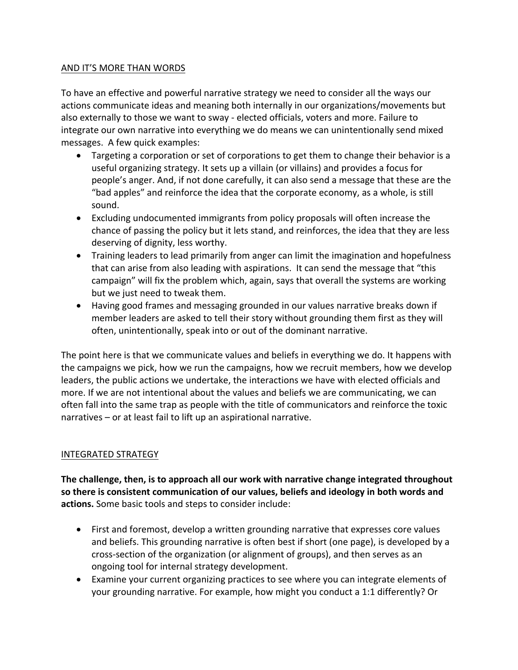#### AND IT'S MORE THAN WORDS

To have an effective and powerful narrative strategy we need to consider all the ways our actions communicate ideas and meaning both internally in our organizations/movements but also externally to those we want to sway - elected officials, voters and more. Failure to integrate our own narrative into everything we do means we can unintentionally send mixed messages. A few quick examples:

- Targeting a corporation or set of corporations to get them to change their behavior is a useful organizing strategy. It sets up a villain (or villains) and provides a focus for people's anger. And, if not done carefully, it can also send a message that these are the "bad apples" and reinforce the idea that the corporate economy, as a whole, is still sound.
- Excluding undocumented immigrants from policy proposals will often increase the chance of passing the policy but it lets stand, and reinforces, the idea that they are less deserving of dignity, less worthy.
- Training leaders to lead primarily from anger can limit the imagination and hopefulness that can arise from also leading with aspirations. It can send the message that "this campaign" will fix the problem which, again, says that overall the systems are working but we just need to tweak them.
- Having good frames and messaging grounded in our values narrative breaks down if member leaders are asked to tell their story without grounding them first as they will often, unintentionally, speak into or out of the dominant narrative.

The point here is that we communicate values and beliefs in everything we do. It happens with the campaigns we pick, how we run the campaigns, how we recruit members, how we develop leaders, the public actions we undertake, the interactions we have with elected officials and more. If we are not intentional about the values and beliefs we are communicating, we can often fall into the same trap as people with the title of communicators and reinforce the toxic narratives – or at least fail to lift up an aspirational narrative.

#### INTEGRATED STRATEGY

**The challenge, then, is to approach all our work with narrative change integrated throughout so there is consistent communication of our values, beliefs and ideology in both words and actions.** Some basic tools and steps to consider include:

- First and foremost, develop a written grounding narrative that expresses core values and beliefs. This grounding narrative is often best if short (one page), is developed by a cross-section of the organization (or alignment of groups), and then serves as an ongoing tool for internal strategy development.
- Examine your current organizing practices to see where you can integrate elements of your grounding narrative. For example, how might you conduct a 1:1 differently? Or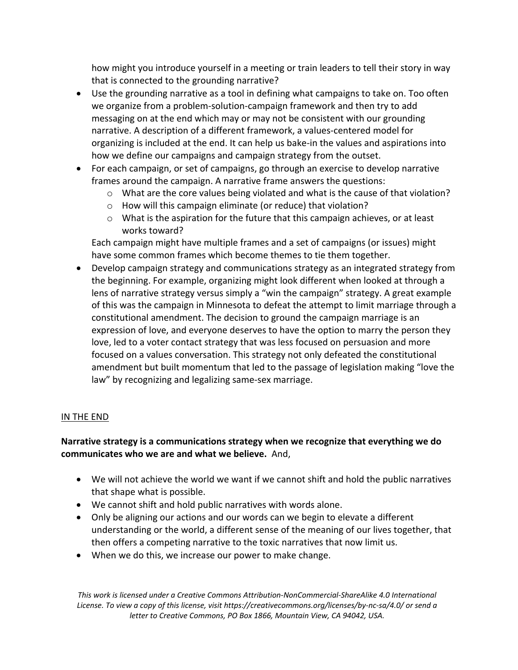how might you introduce yourself in a meeting or train leaders to tell their story in way that is connected to the grounding narrative?

- Use the grounding narrative as a tool in defining what campaigns to take on. Too often we organize from a problem-solution-campaign framework and then try to add messaging on at the end which may or may not be consistent with our grounding narrative. A description of a different framework, a values-centered model for organizing is included at the end. It can help us bake-in the values and aspirations into how we define our campaigns and campaign strategy from the outset.
- For each campaign, or set of campaigns, go through an exercise to develop narrative frames around the campaign. A narrative frame answers the questions:
	- $\circ$  What are the core values being violated and what is the cause of that violation?
	- o How will this campaign eliminate (or reduce) that violation?
	- o What is the aspiration for the future that this campaign achieves, or at least works toward?

Each campaign might have multiple frames and a set of campaigns (or issues) might have some common frames which become themes to tie them together.

• Develop campaign strategy and communications strategy as an integrated strategy from the beginning. For example, organizing might look different when looked at through a lens of narrative strategy versus simply a "win the campaign" strategy. A great example of this was the campaign in Minnesota to defeat the attempt to limit marriage through a constitutional amendment. The decision to ground the campaign marriage is an expression of love, and everyone deserves to have the option to marry the person they love, led to a voter contact strategy that was less focused on persuasion and more focused on a values conversation. This strategy not only defeated the constitutional amendment but built momentum that led to the passage of legislation making "love the law" by recognizing and legalizing same-sex marriage.

#### IN THE END

#### **Narrative strategy is a communications strategy when we recognize that everything we do communicates who we are and what we believe.** And,

- We will not achieve the world we want if we cannot shift and hold the public narratives that shape what is possible.
- We cannot shift and hold public narratives with words alone.
- Only be aligning our actions and our words can we begin to elevate a different understanding or the world, a different sense of the meaning of our lives together, that then offers a competing narrative to the toxic narratives that now limit us.
- When we do this, we increase our power to make change.

*This work is licensed under a Creative Commons Attribution-NonCommercial-ShareAlike 4.0 International License. To view a copy of this license, visit https://creativecommons.org/licenses/by-nc-sa/4.0/ or send a letter to Creative Commons, PO Box 1866, Mountain View, CA 94042, USA.*